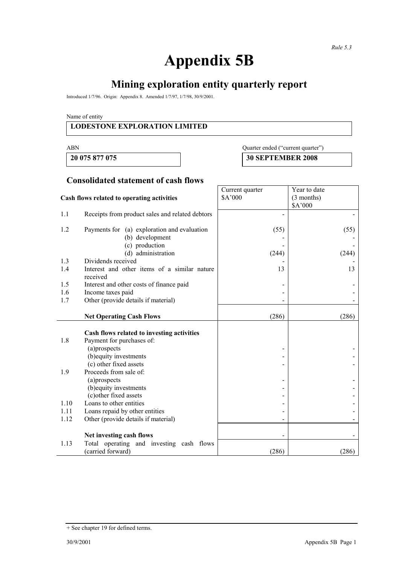# **Appendix 5B**

# **Mining exploration entity quarterly report**

Introduced 1/7/96. Origin: Appendix 8. Amended 1/7/97, 1/7/98, 30/9/2001.

Name of entity

#### **LODESTONE EXPLORATION LIMITED**

#### ABN Quarter ended ("current quarter")

**20 075 877 075 30 SEPTEMBER 2008** 

## **Consolidated statement of cash flows**

|                                            |                                                          | Current quarter | Year to date |
|--------------------------------------------|----------------------------------------------------------|-----------------|--------------|
| Cash flows related to operating activities |                                                          | \$A'000         | (3 months)   |
|                                            |                                                          |                 | \$A'000      |
| 1.1                                        | Receipts from product sales and related debtors          |                 |              |
| 1.2                                        | Payments for (a) exploration and evaluation              | (55)            | (55)         |
|                                            | (b) development                                          |                 |              |
|                                            | (c) production                                           |                 |              |
|                                            | (d) administration                                       | (244)           | (244)        |
| 1.3                                        | Dividends received                                       |                 |              |
| 1.4                                        | Interest and other items of a similar nature<br>received | 13              | 13           |
| 1.5                                        | Interest and other costs of finance paid                 |                 |              |
| 1.6                                        | Income taxes paid                                        |                 |              |
| 1.7                                        | Other (provide details if material)                      |                 |              |
|                                            |                                                          |                 |              |
|                                            | <b>Net Operating Cash Flows</b>                          | (286)           | (286)        |
|                                            |                                                          |                 |              |
|                                            | Cash flows related to investing activities               |                 |              |
| 1.8                                        | Payment for purchases of:                                |                 |              |
|                                            | (a)prospects                                             |                 |              |
|                                            | (b) equity investments                                   |                 |              |
|                                            | (c) other fixed assets                                   |                 |              |
| 1.9                                        | Proceeds from sale of:<br>(a)prospects                   |                 |              |
|                                            | (b) equity investments                                   |                 |              |
|                                            | (c) other fixed assets                                   |                 |              |
| 1.10                                       | Loans to other entities                                  |                 |              |
| 1.11                                       | Loans repaid by other entities                           |                 |              |
| 1.12                                       | Other (provide details if material)                      |                 |              |
|                                            |                                                          |                 |              |
|                                            | Net investing cash flows                                 |                 |              |
| 1.13                                       | Total operating and investing cash flows                 |                 |              |
|                                            | (carried forward)                                        | (286)           | (286)        |

<sup>+</sup> See chapter 19 for defined terms.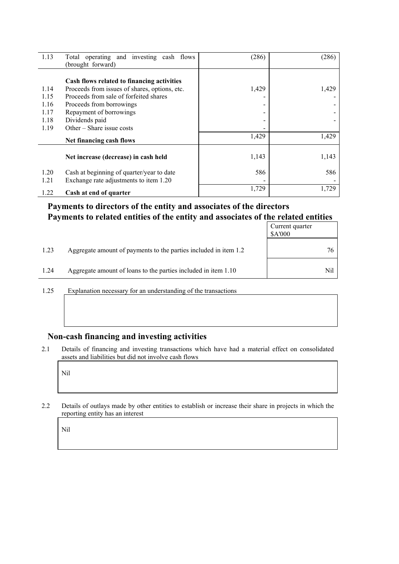| 1.13                 | Total operating and investing cash flows<br>(brought forward)                                                                                                     | (286)                                 | (286) |
|----------------------|-------------------------------------------------------------------------------------------------------------------------------------------------------------------|---------------------------------------|-------|
| 1.14<br>1.15<br>1.16 | Cash flows related to financing activities<br>Proceeds from issues of shares, options, etc.<br>Proceeds from sale of forfeited shares<br>Proceeds from borrowings | 1,429<br>$\qquad \qquad \blacksquare$ | 1,429 |
| 1.17<br>1.18<br>1.19 | Repayment of borrowings<br>Dividends paid<br>Other – Share issue costs                                                                                            | -<br>-                                |       |
|                      | Net financing cash flows                                                                                                                                          | 1,429                                 | 1,429 |
|                      | Net increase (decrease) in cash held                                                                                                                              | 1,143                                 | 1,143 |
| 1.20<br>1.21         | Cash at beginning of quarter/year to date<br>Exchange rate adjustments to item 1.20                                                                               | 586                                   | 586   |
| 1.22                 | Cash at end of quarter                                                                                                                                            | 1,729                                 | 1,729 |

### **Payments to directors of the entity and associates of the directors Payments to related entities of the entity and associates of the related entities**

|      |                                                                  | Current quarter<br>\$A'000 |
|------|------------------------------------------------------------------|----------------------------|
| 1.23 | Aggregate amount of payments to the parties included in item 1.2 | 76                         |
| 1.24 | Aggregate amount of loans to the parties included in item 1.10   | Nil                        |

1.25 Explanation necessary for an understanding of the transactions

## **Non-cash financing and investing activities**

2.1 Details of financing and investing transactions which have had a material effect on consolidated assets and liabilities but did not involve cash flows

Nil

2.2 Details of outlays made by other entities to establish or increase their share in projects in which the reporting entity has an interest

Nil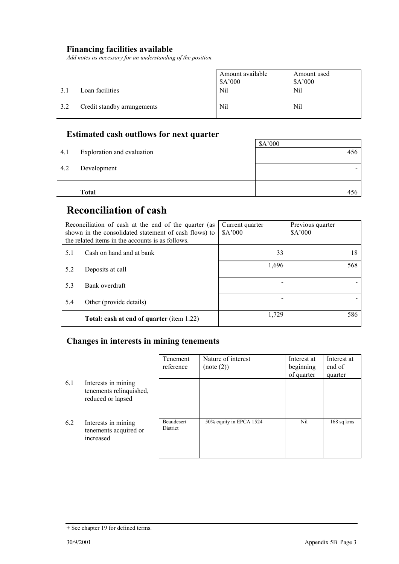#### **Financing facilities available**

*Add notes as necessary for an understanding of the position.* 

|     |                             | Amount available<br>\$A'000 | Amount used<br>\$A'000 |
|-----|-----------------------------|-----------------------------|------------------------|
| 3.1 | Loan facilities             | Nil                         | Nil                    |
| 3.2 | Credit standby arrangements | Nil                         | Nil                    |

# **Estimated cash outflows for next quarter**

|     | <b>Total</b>               | 456                      |
|-----|----------------------------|--------------------------|
|     |                            |                          |
| 4.2 | Development                | $\overline{\phantom{0}}$ |
| 4.1 | Exploration and evaluation | 456                      |
|     |                            | \$A'000                  |

# **Reconciliation of cash**

| Reconciliation of cash at the end of the quarter (as<br>shown in the consolidated statement of cash flows) to<br>the related items in the accounts is as follows. |                                                  | Current quarter<br>\$A'000 | Previous quarter<br>\$A'000 |
|-------------------------------------------------------------------------------------------------------------------------------------------------------------------|--------------------------------------------------|----------------------------|-----------------------------|
| 5.1                                                                                                                                                               | Cash on hand and at bank                         | 33                         | 18                          |
| 5.2                                                                                                                                                               | Deposits at call                                 | 1,696                      | 568                         |
| 5.3                                                                                                                                                               | Bank overdraft                                   |                            |                             |
| 5.4                                                                                                                                                               | Other (provide details)                          |                            |                             |
|                                                                                                                                                                   | <b>Total: cash at end of quarter (item 1.22)</b> | 1,729                      | 586                         |

## **Changes in interests in mining tenements**

|     |                                                                     | Tenement<br>reference  | Nature of interest<br>(note (2)) | Interest at<br>beginning<br>of quarter | Interest at<br>end of<br>quarter |
|-----|---------------------------------------------------------------------|------------------------|----------------------------------|----------------------------------------|----------------------------------|
| 6.1 | Interests in mining<br>tenements relinquished,<br>reduced or lapsed |                        |                                  |                                        |                                  |
| 6.2 | Interests in mining<br>tenements acquired or<br>increased           | Beaudesert<br>District | 50% equity in EPCA 1524          | Nil                                    | $168$ sq kms                     |

<sup>+</sup> See chapter 19 for defined terms.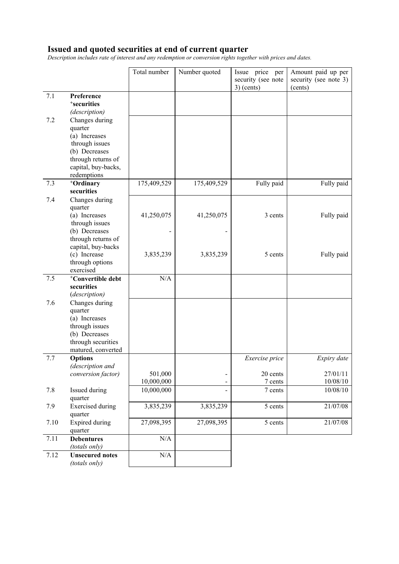#### **Issued and quoted securities at end of current quarter**

*Description includes rate of interest and any redemption or conversion rights together with prices and dates.* 

|      |                                      | Total number | Number quoted | Issue price per<br>security (see note<br>$3)$ (cents) | Amount paid up per<br>security (see note 3)<br>(cents) |
|------|--------------------------------------|--------------|---------------|-------------------------------------------------------|--------------------------------------------------------|
| 7.1  | Preference                           |              |               |                                                       |                                                        |
|      | <sup>+</sup> securities              |              |               |                                                       |                                                        |
|      | (description)                        |              |               |                                                       |                                                        |
| 7.2  | Changes during                       |              |               |                                                       |                                                        |
|      | quarter                              |              |               |                                                       |                                                        |
|      | (a) Increases                        |              |               |                                                       |                                                        |
|      | through issues                       |              |               |                                                       |                                                        |
|      | (b) Decreases                        |              |               |                                                       |                                                        |
|      | through returns of                   |              |               |                                                       |                                                        |
|      | capital, buy-backs,                  |              |               |                                                       |                                                        |
|      | redemptions                          |              |               |                                                       |                                                        |
| 7.3  | <sup>+</sup> Ordinary                | 175,409,529  | 175,409,529   | Fully paid                                            | Fully paid                                             |
|      | securities                           |              |               |                                                       |                                                        |
| 7.4  | Changes during                       |              |               |                                                       |                                                        |
|      | quarter                              |              |               |                                                       |                                                        |
|      | (a) Increases                        | 41,250,075   | 41,250,075    | 3 cents                                               | Fully paid                                             |
|      | through issues<br>(b) Decreases      |              |               |                                                       |                                                        |
|      | through returns of                   |              |               |                                                       |                                                        |
|      | capital, buy-backs                   |              |               |                                                       |                                                        |
|      | (c) Increase                         | 3,835,239    | 3,835,239     | 5 cents                                               | Fully paid                                             |
|      | through options                      |              |               |                                                       |                                                        |
|      | exercised                            |              |               |                                                       |                                                        |
| 7.5  | <sup>+</sup> Convertible debt        | N/A          |               |                                                       |                                                        |
|      | securities                           |              |               |                                                       |                                                        |
|      | (description)                        |              |               |                                                       |                                                        |
| 7.6  | Changes during                       |              |               |                                                       |                                                        |
|      | quarter                              |              |               |                                                       |                                                        |
|      | (a) Increases                        |              |               |                                                       |                                                        |
|      | through issues                       |              |               |                                                       |                                                        |
|      | (b) Decreases                        |              |               |                                                       |                                                        |
|      | through securities                   |              |               |                                                       |                                                        |
| 7.7  | matured, converted<br><b>Options</b> |              |               | Exercise price                                        | Expiry date                                            |
|      | (description and                     |              |               |                                                       |                                                        |
|      | conversion factor)                   | 501,000      | -             | 20 cents                                              | 27/01/11                                               |
|      |                                      | 10,000,000   |               | 7 cents                                               | 10/08/10                                               |
| 7.8  | Issued during                        | 10,000,000   |               | 7 cents                                               | 10/08/10                                               |
|      | quarter                              |              |               |                                                       |                                                        |
| 7.9  | <b>Exercised</b> during              | 3,835,239    | 3,835,239     | 5 cents                                               | 21/07/08                                               |
|      | quarter                              |              |               |                                                       |                                                        |
| 7.10 | Expired during                       | 27,098,395   | 27,098,395    | 5 cents                                               | 21/07/08                                               |
|      | quarter                              |              |               |                                                       |                                                        |
| 7.11 | <b>Debentures</b>                    | $\rm N/A$    |               |                                                       |                                                        |
|      | (totals only)                        |              |               |                                                       |                                                        |
| 7.12 | <b>Unsecured notes</b>               | N/A          |               |                                                       |                                                        |
|      | (totals only)                        |              |               |                                                       |                                                        |